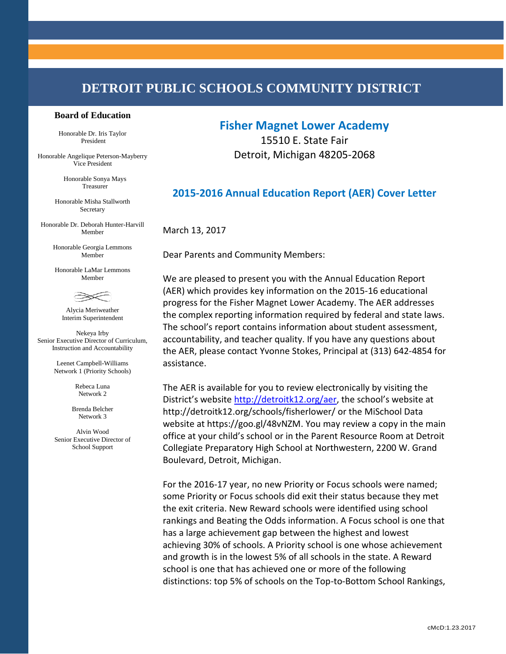# **DETROIT PUBLIC SCHOOLS COMMUNITY DISTRICT**

#### **Board of Education**

Honorable Dr. Iris Taylor President

Honorable Angelique Peterson-Mayberry Vice President

> Honorable Sonya Mays Treasurer

Honorable Misha Stallworth Secretary

Honorable Dr. Deborah Hunter-Harvill Member

> Honorable Georgia Lemmons Member

Honorable LaMar Lemmons Member



Alycia Meriweather Interim Superintendent

Nekeya Irby Senior Executive Director of Curriculum, Instruction and Accountability

> Leenet Campbell-Williams Network 1 (Priority Schools)

> > Rebeca Luna Network 2

Brenda Belcher Network 3

Alvin Wood Senior Executive Director of School Support

## **Fisher Magnet Lower Academy**

15510 E. State Fair Detroit, Michigan 48205-2068

### **2015-2016 Annual Education Report (AER) Cover Letter**

March 13, 2017

Dear Parents and Community Members:

We are pleased to present you with the Annual Education Report (AER) which provides key information on the 2015-16 educational progress for the Fisher Magnet Lower Academy. The AER addresses the complex reporting information required by federal and state laws. The school's report contains information about student assessment, accountability, and teacher quality. If you have any questions about the AER, please contact Yvonne Stokes, Principal at (313) 642-4854 for assistance.

The AER is available for you to review electronically by visiting the District's website <http://detroitk12.org/aer>, the school's website at http://detroitk12.org/schools/fisherlower/ or the MiSchool Data website at https://goo.gl/48vNZM. You may review a copy in the main office at your child's school or in the Parent Resource Room at Detroit Collegiate Preparatory High School at Northwestern, 2200 W. Grand Boulevard, Detroit, Michigan.

For the 2016-17 year, no new Priority or Focus schools were named; some Priority or Focus schools did exit their status because they met the exit criteria. New Reward schools were identified using school rankings and Beating the Odds information. A Focus school is one that has a large achievement gap between the highest and lowest achieving 30% of schools. A Priority school is one whose achievement and growth is in the lowest 5% of all schools in the state. A Reward school is one that has achieved one or more of the following distinctions: top 5% of schools on the Top-to-Bottom School Rankings,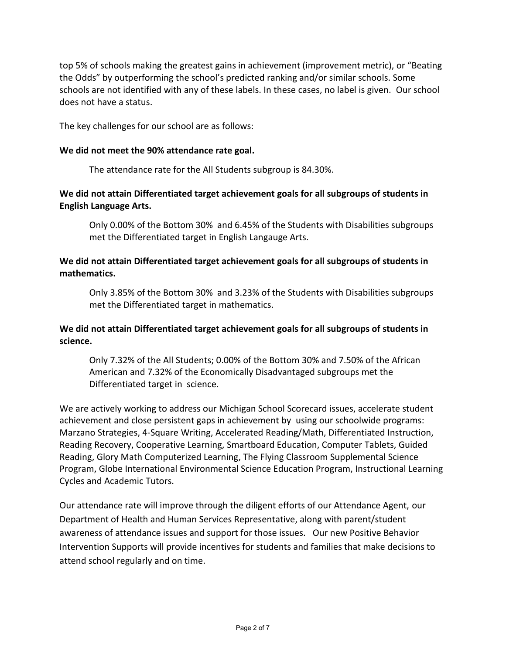top 5% of schools making the greatest gains in achievement (improvement metric), or "Beating the Odds" by outperforming the school's predicted ranking and/or similar schools. Some schools are not identified with any of these labels. In these cases, no label is given. Our school does not have a status.

The key challenges for our school are as follows:

#### **We did not meet the 90% attendance rate goal.**

The attendance rate for the All Students subgroup is 84.30%.

#### **We did not attain Differentiated target achievement goals for all subgroups of students in English Language Arts.**

Only 0.00% of the Bottom 30% and 6.45% of the Students with Disabilities subgroups met the Differentiated target in English Langauge Arts.

### **We did not attain Differentiated target achievement goals for all subgroups of students in mathematics.**

Only 3.85% of the Bottom 30% and 3.23% of the Students with Disabilities subgroups met the Differentiated target in mathematics.

### **We did not attain Differentiated target achievement goals for all subgroups of students in science.**

Only 7.32% of the All Students; 0.00% of the Bottom 30% and 7.50% of the African American and 7.32% of the Economically Disadvantaged subgroups met the Differentiated target in science.

We are actively working to address our Michigan School Scorecard issues, accelerate student achievement and close persistent gaps in achievement by using our schoolwide programs: Marzano Strategies, 4-Square Writing, Accelerated Reading/Math, Differentiated Instruction, Reading Recovery, Cooperative Learning, Smartboard Education, Computer Tablets, Guided Reading, Glory Math Computerized Learning, The Flying Classroom Supplemental Science Program, Globe International Environmental Science Education Program, Instructional Learning Cycles and Academic Tutors.

Our attendance rate will improve through the diligent efforts of our Attendance Agent, our Department of Health and Human Services Representative, along with parent/student awareness of attendance issues and support for those issues. Our new Positive Behavior Intervention Supports will provide incentives for students and families that make decisions to attend school regularly and on time.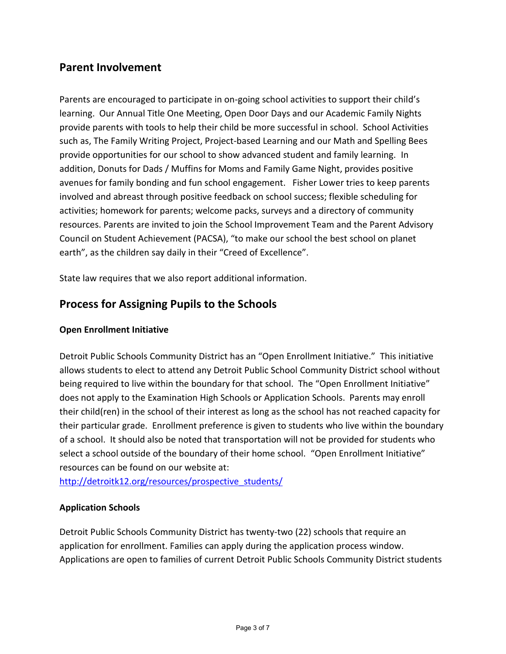## **Parent Involvement**

Parents are encouraged to participate in on-going school activities to support their child's learning. Our Annual Title One Meeting, Open Door Days and our Academic Family Nights provide parents with tools to help their child be more successful in school. School Activities such as, The Family Writing Project, Project-based Learning and our Math and Spelling Bees provide opportunities for our school to show advanced student and family learning. In addition, Donuts for Dads / Muffins for Moms and Family Game Night, provides positive avenues for family bonding and fun school engagement. Fisher Lower tries to keep parents involved and abreast through positive feedback on school success; flexible scheduling for activities; homework for parents; welcome packs, surveys and a directory of community resources. Parents are invited to join the School Improvement Team and the Parent Advisory Council on Student Achievement (PACSA), "to make our school the best school on planet earth", as the children say daily in their "Creed of Excellence".

State law requires that we also report additional information.

# **Process for Assigning Pupils to the Schools**

### **Open Enrollment Initiative**

Detroit Public Schools Community District has an "Open Enrollment Initiative." This initiative allows students to elect to attend any Detroit Public School Community District school without being required to live within the boundary for that school. The "Open Enrollment Initiative" does not apply to the Examination High Schools or Application Schools. Parents may enroll their child(ren) in the school of their interest as long as the school has not reached capacity for their particular grade. Enrollment preference is given to students who live within the boundary of a school. It should also be noted that transportation will not be provided for students who select a school outside of the boundary of their home school. "Open Enrollment Initiative" resources can be found on our website at:

[http://detroitk12.org/resources/prospective\\_students/](http://detroitk12.org/resources/prospective_students/)

### **Application Schools**

Detroit Public Schools Community District has twenty-two (22) schools that require an application for enrollment. Families can apply during the application process window. Applications are open to families of current Detroit Public Schools Community District students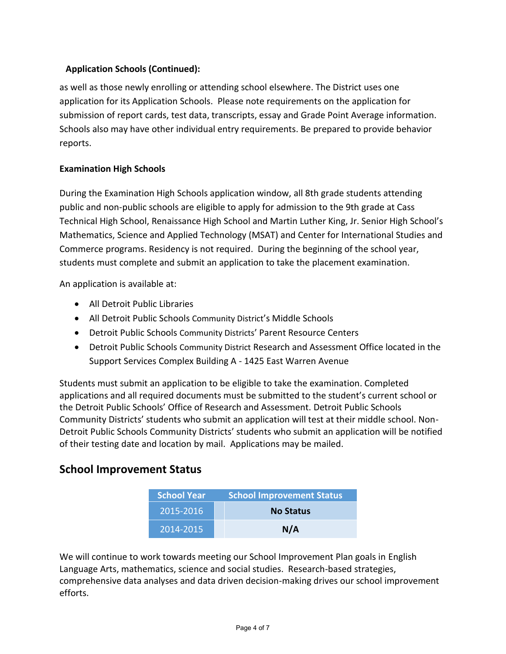### **Application Schools (Continued):**

as well as those newly enrolling or attending school elsewhere. The District uses one application for its Application Schools. Please note requirements on the application for submission of report cards, test data, transcripts, essay and Grade Point Average information. Schools also may have other individual entry requirements. Be prepared to provide behavior reports.

### **Examination High Schools**

During the Examination High Schools application window, all 8th grade students attending public and non-public schools are eligible to apply for admission to the 9th grade at Cass Technical High School, Renaissance High School and Martin Luther King, Jr. Senior High School's Mathematics, Science and Applied Technology (MSAT) and Center for International Studies and Commerce programs. Residency is not required. During the beginning of the school year, students must complete and submit an application to take the placement examination.

An application is available at:

- All Detroit Public Libraries
- All Detroit Public Schools Community District's Middle Schools
- Detroit Public Schools Community Districts' Parent Resource Centers
- Detroit Public Schools Community District Research and Assessment Office located in the Support Services Complex Building A - 1425 East Warren Avenue

Students must submit an application to be eligible to take the examination. Completed applications and all required documents must be submitted to the student's current school or the Detroit Public Schools' Office of Research and Assessment. Detroit Public Schools Community Districts' students who submit an application will test at their middle school. Non-Detroit Public Schools Community Districts' students who submit an application will be notified of their testing date and location by mail. Applications may be mailed.

## **School Improvement Status**

| <b>School Year</b> | <b>School Improvement Status</b> |  |
|--------------------|----------------------------------|--|
| 2015-2016          | <b>No Status</b>                 |  |
| 2014-2015          | N/A                              |  |

We will continue to work towards meeting our School Improvement Plan goals in English Language Arts, mathematics, science and social studies. Research-based strategies, comprehensive data analyses and data driven decision-making drives our school improvement efforts.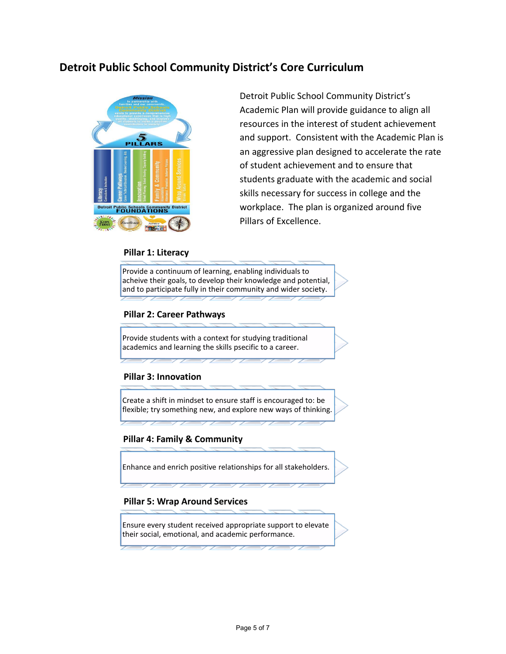## **Detroit Public School Community District's Core Curriculum**



Detroit Public School Community District's Academic Plan will provide guidance to align all resources in the interest of student achievement and support. Consistent with the Academic Plan is an aggressive plan designed to accelerate the rate of student achievement and to ensure that students graduate with the academic and social skills necessary for success in college and the workplace. The plan is organized around five Pillars of Excellence.

#### **Pillar 1: Literacy**

Provide a continuum of learning, enabling individuals to acheive their goals, to develop their knowledge and potential, and to participate fully in their community and wider society.

#### **Pillar 2: Career Pathways**

Provide students with a context for studying traditional academics and learning the skills psecific to a career.

#### **Pillar 3: Innovation**

Create a shift in mindset to ensure staff is encouraged to: be flexible; try something new, and explore new ways of thinking.

#### **Pillar 4: Family & Community**

Enhance and enrich positive relationships for all stakeholders.

#### **Pillar 5: Wrap Around Services**

Ensure every student received appropriate support to elevate their social, emotional, and academic performance.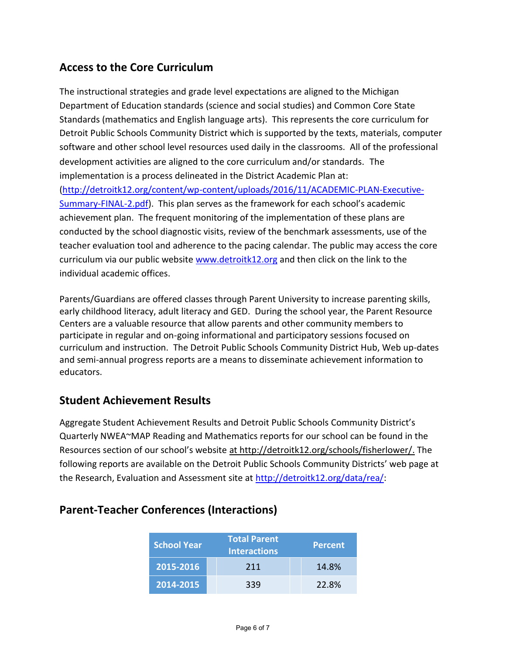# **Access to the Core Curriculum**

The instructional strategies and grade level expectations are aligned to the Michigan Department of Education standards (science and social studies) and Common Core State Standards (mathematics and English language arts). This represents the core curriculum for Detroit Public Schools Community District which is supported by the texts, materials, computer software and other school level resources used daily in the classrooms. All of the professional development activities are aligned to the core curriculum and/or standards. The implementation is a process delineated in the District Academic Plan at: [\(http://detroitk12.org/content/wp-content/uploads/2016/11/ACADEMIC-PLAN-Executive-](http://detroitk12.org/content/wp-content/uploads/2016/11/ACADEMIC-PLAN-Executive-Summary-FINAL-2.pdf)[Summary-FINAL-2.pdf](http://detroitk12.org/content/wp-content/uploads/2016/11/ACADEMIC-PLAN-Executive-Summary-FINAL-2.pdf)). This plan serves as the framework for each school's academic achievement plan. The frequent monitoring of the implementation of these plans are conducted by the school diagnostic visits, review of the benchmark assessments, use of the teacher evaluation tool and adherence to the pacing calendar. The public may access the core curriculum via our public website [www.detroitk12.org](http://www.detroitk12.org/) and then click on the link to the individual academic offices.

Parents/Guardians are offered classes through Parent University to increase parenting skills, early childhood literacy, adult literacy and GED. During the school year, the Parent Resource Centers are a valuable resource that allow parents and other community members to participate in regular and on-going informational and participatory sessions focused on curriculum and instruction. The Detroit Public Schools Community District Hub, Web up-dates and semi-annual progress reports are a means to disseminate achievement information to educators.

## **Student Achievement Results**

Aggregate Student Achievement Results and Detroit Public Schools Community District's Quarterly NWEA~MAP Reading and Mathematics reports for our school can be found in the Resources section of our school's website at http://detroitk12.org/schools/fisherlower/. The following reports are available on the Detroit Public Schools Community Districts' web page at the Research, Evaluation and Assessment site at [http://detroitk12.org/data/rea/:](http://detroitk12.org/data/rea/)

| <b>School Year</b> | <b>Total Parent</b><br><b>Interactions</b> | <b>Percent</b> |
|--------------------|--------------------------------------------|----------------|
| 2015-2016          | 211                                        | 14.8%          |
| 2014-2015          | 339                                        | 22.8%          |

# **Parent-Teacher Conferences (Interactions)**